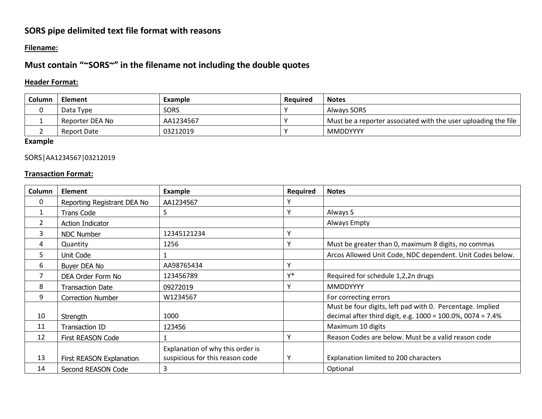# **SORS pipe delimited text file format with reasons**

#### **Filename:**

## **Must contain "~SORS~" in the filename not including the double quotes**

## **Header Format:**

| <b>Column</b> | <b>Element</b>  | <b>Example</b> | Required | <b>Notes</b>                                                   |
|---------------|-----------------|----------------|----------|----------------------------------------------------------------|
|               | Data Type       | <b>SORS</b>    |          | Always SORS                                                    |
|               | Reporter DEA No | AA1234567      |          | Must be a reporter associated with the user uploading the file |
|               | Report Date     | 03212019       |          | <b>MMDDYYYY</b>                                                |

**Example**

#### SORS|AA1234567|03212019

## **Transaction Format:**

| Column        | <b>Element</b>              | <b>Example</b>                   | <b>Required</b> | <b>Notes</b>                                               |
|---------------|-----------------------------|----------------------------------|-----------------|------------------------------------------------------------|
| 0             | Reporting Registrant DEA No | AA1234567                        |                 |                                                            |
| 1             | <b>Trans Code</b>           | S                                | Υ               | Always S                                                   |
| $\mathcal{L}$ | Action Indicator            |                                  |                 | Always Empty                                               |
| 3             | <b>NDC Number</b>           | 12345121234                      | ν               |                                                            |
| 4             | Quantity                    | 1256                             | ν               | Must be greater than 0, maximum 8 digits, no commas        |
| 5             | Unit Code                   |                                  |                 | Arcos Allowed Unit Code, NDC dependent. Unit Codes below.  |
| 6             | Buyer DEA No                | AA98765434                       | Υ               |                                                            |
| 7             | DEA Order Form No           | 123456789                        | v*              | Required for schedule 1,2,2n drugs                         |
| 8             | <b>Transaction Date</b>     | 09272019                         | ν               | <b>MMDDYYYY</b>                                            |
| 9             | <b>Correction Number</b>    | W1234567                         |                 | For correcting errors                                      |
|               |                             |                                  |                 | Must be four digits, left pad with 0. Percentage. Implied  |
| 10            | Strength                    | 1000                             |                 | decimal after third digit, e.g. 1000 = 100.0%, 0074 = 7.4% |
| 11            | <b>Transaction ID</b>       | 123456                           |                 | Maximum 10 digits                                          |
| 12            | First REASON Code           |                                  | ٧               | Reason Codes are below. Must be a valid reason code        |
|               |                             | Explanation of why this order is |                 |                                                            |
| 13            | First REASON Explanation    | suspicious for this reason code  | Υ               | Explanation limited to 200 characters                      |
| 14            | Second REASON Code          | 3                                |                 | Optional                                                   |